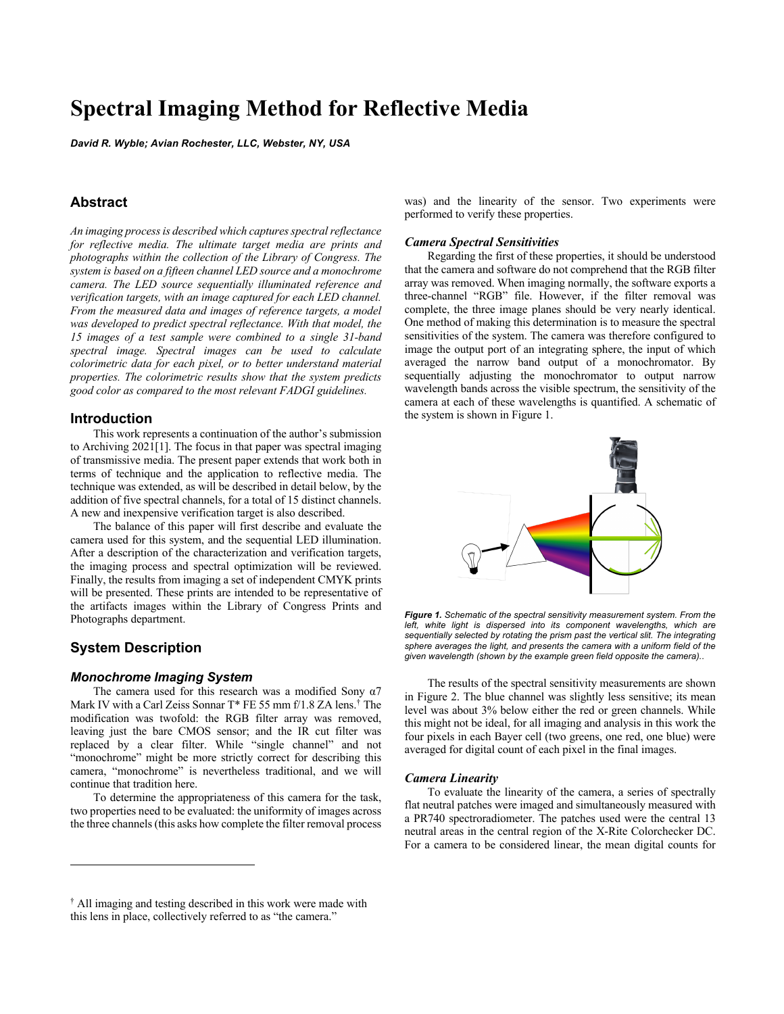# **Spectral Imaging Method for Reflective Media**

*David R. Wyble; Avian Rochester, LLC, Webster, NY, USA*

# **Abstract**

*An imaging process is described which captures spectral reflectance for reflective media. The ultimate target media are prints and photographs within the collection of the Library of Congress. The system is based on a fifteen channel LED source and a monochrome camera. The LED source sequentially illuminated reference and verification targets, with an image captured for each LED channel. From the measured data and images of reference targets, a model was developed to predict spectral reflectance. With that model, the 15 images of a test sample were combined to a single 31-band spectral image. Spectral images can be used to calculate colorimetric data for each pixel, or to better understand material properties. The colorimetric results show that the system predicts good color as compared to the most relevant FADGI guidelines.*

## **Introduction**

This work represents a continuation of the author's submission to Archiving 2021[1]. The focus in that paper was spectral imaging of transmissive media. The present paper extends that work both in terms of technique and the application to reflective media. The technique was extended, as will be described in detail below, by the addition of five spectral channels, for a total of 15 distinct channels. A new and inexpensive verification target is also described.

The balance of this paper will first describe and evaluate the camera used for this system, and the sequential LED illumination. After a description of the characterization and verification targets, the imaging process and spectral optimization will be reviewed. Finally, the results from imaging a set of independent CMYK prints will be presented. These prints are intended to be representative of the artifacts images within the Library of Congress Prints and Photographs department.

# **System Description**

## *Monochrome Imaging System*

The camera used for this research was a modified Sony  $\alpha$ 7 Mark IV with a Carl Zeiss Sonnar T\* FE 55 mm f/1.8 ZA lens. † The modification was twofold: the RGB filter array was removed, leaving just the bare CMOS sensor; and the IR cut filter was replaced by a clear filter. While "single channel" and not "monochrome" might be more strictly correct for describing this camera, "monochrome" is nevertheless traditional, and we will continue that tradition here.

To determine the appropriateness of this camera for the task, two properties need to be evaluated: the uniformity of images across the three channels(this asks how complete the filter removal process was) and the linearity of the sensor. Two experiments were performed to verify these properties.

#### *Camera Spectral Sensitivities*

Regarding the first of these properties, it should be understood that the camera and software do not comprehend that the RGB filter array was removed. When imaging normally, the software exports a three-channel "RGB" file. However, if the filter removal was complete, the three image planes should be very nearly identical. One method of making this determination is to measure the spectral sensitivities of the system. The camera was therefore configured to image the output port of an integrating sphere, the input of which averaged the narrow band output of a monochromator. By sequentially adjusting the monochromator to output narrow wavelength bands across the visible spectrum, the sensitivity of the camera at each of these wavelengths is quantified. A schematic of the system is shown in Figure 1.



*Figure 1. Schematic of the spectral sensitivity measurement system. From the*  left, white light is dispersed into its component wavelengths, which are *sequentially selected by rotating the prism past the vertical slit. The integrating sphere averages the light, and presents the camera with a uniform field of the given wavelength (shown by the example green field opposite the camera)..*

The results of the spectral sensitivity measurements are shown in Figure 2. The blue channel was slightly less sensitive; its mean level was about 3% below either the red or green channels. While this might not be ideal, for all imaging and analysis in this work the four pixels in each Bayer cell (two greens, one red, one blue) were averaged for digital count of each pixel in the final images.

#### *Camera Linearity*

To evaluate the linearity of the camera, a series of spectrally flat neutral patches were imaged and simultaneously measured with a PR740 spectroradiometer. The patches used were the central 13 neutral areas in the central region of the X-Rite Colorchecker DC. For a camera to be considered linear, the mean digital counts for

<sup>†</sup> All imaging and testing described in this work were made with this lens in place, collectively referred to as "the camera."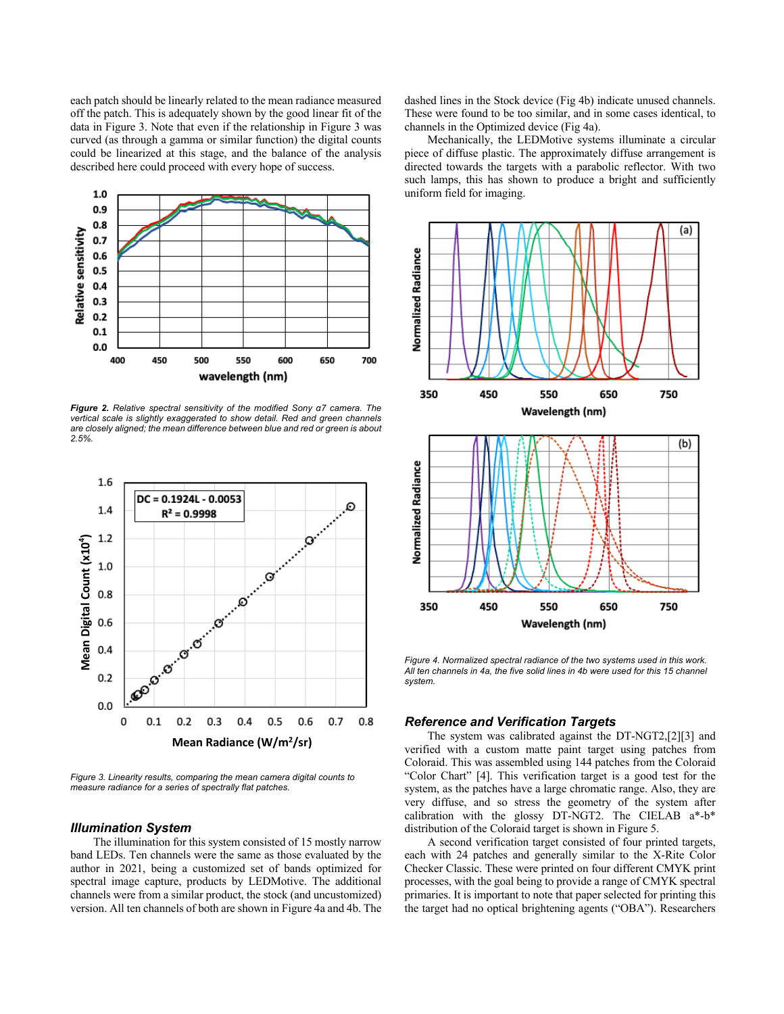each patch should be linearly related to the mean radiance measured off the patch. This is adequately shown by the good linear fit of the data in Figure 3. Note that even if the relationship in Figure 3 was curved (as through a gamma or similar function) the digital counts could be linearized at this stage, and the balance of the analysis described here could proceed with every hope of success.



*Figure 2. Relative spectral sensitivity of the modified Sony α7 camera. The vertical scale is slightly exaggerated to show detail. Red and green channels are closely aligned; the mean difference between blue and red or green is about 2.5%.*



*Figure 3. Linearity results, comparing the mean camera digital counts to measure radiance for a series of spectrally flat patches.*

## *Illumination System*

The illumination for this system consisted of 15 mostly narrow band LEDs. Ten channels were the same as those evaluated by the author in 2021, being a customized set of bands optimized for spectral image capture, products by LEDMotive. The additional channels were from a similar product, the stock (and uncustomized) version. All ten channels of both are shown in Figure 4a and 4b. The dashed lines in the Stock device (Fig 4b) indicate unused channels. These were found to be too similar, and in some cases identical, to channels in the Optimized device (Fig 4a).

Mechanically, the LEDMotive systems illuminate a circular piece of diffuse plastic. The approximately diffuse arrangement is directed towards the targets with a parabolic reflector. With two such lamps, this has shown to produce a bright and sufficiently uniform field for imaging.



*Figure 4. Normalized spectral radiance of the two systems used in this work. All ten channels in 4a, the five solid lines in 4b were used for this 15 channel system.*

## *Reference and Verification Targets*

The system was calibrated against the DT-NGT2,[2][3] and verified with a custom matte paint target using patches from Coloraid. This was assembled using 144 patches from the Coloraid "Color Chart" [4]. This verification target is a good test for the system, as the patches have a large chromatic range. Also, they are very diffuse, and so stress the geometry of the system after calibration with the glossy DT-NGT2. The CIELAB a\*-b\* distribution of the Coloraid target is shown in Figure 5.

A second verification target consisted of four printed targets, each with 24 patches and generally similar to the X-Rite Color Checker Classic. These were printed on four different CMYK print processes, with the goal being to provide a range of CMYK spectral primaries. It is important to note that paper selected for printing this the target had no optical brightening agents ("OBA"). Researchers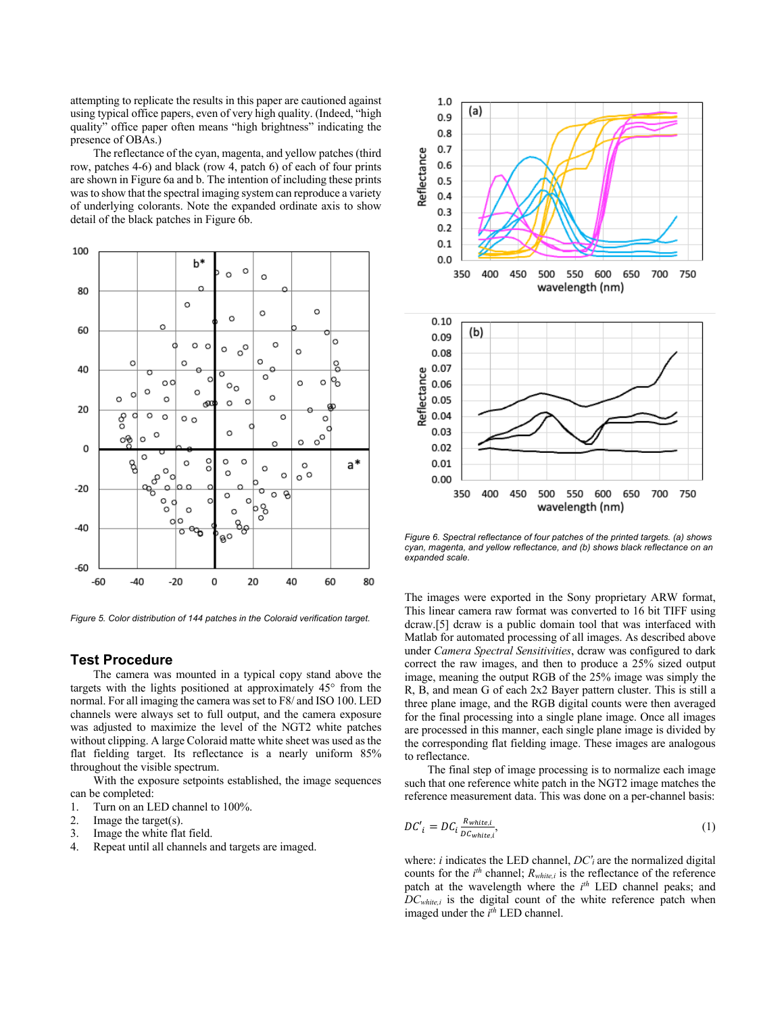attempting to replicate the results in this paper are cautioned against using typical office papers, even of very high quality. (Indeed, "high quality" office paper often means "high brightness" indicating the presence of OBAs.)

The reflectance of the cyan, magenta, and yellow patches (third row, patches 4-6) and black (row 4, patch 6) of each of four prints are shown in Figure 6a and b. The intention of including these prints was to show that the spectral imaging system can reproduce a variety of underlying colorants. Note the expanded ordinate axis to show detail of the black patches in Figure 6b.



*Figure 5. Color distribution of 144 patches in the Coloraid verification target.*

## **Test Procedure**

The camera was mounted in a typical copy stand above the targets with the lights positioned at approximately 45° from the normal. For all imaging the camera was set to F8/ and ISO 100. LED channels were always set to full output, and the camera exposure was adjusted to maximize the level of the NGT2 white patches without clipping. A large Coloraid matte white sheet was used as the flat fielding target. Its reflectance is a nearly uniform 85% throughout the visible spectrum.

With the exposure setpoints established, the image sequences can be completed:

- 1. Turn on an LED channel to 100%.
- 2. Image the target(s).
- 3. Image the white flat field.
- 4. Repeat until all channels and targets are imaged.



*Figure 6. Spectral reflectance of four patches of the printed targets. (a) shows cyan, magenta, and yellow reflectance, and (b) shows black reflectance on an expanded scale.*

The images were exported in the Sony proprietary ARW format, This linear camera raw format was converted to 16 bit TIFF using dcraw.[5] dcraw is a public domain tool that was interfaced with Matlab for automated processing of all images. As described above under *Camera Spectral Sensitivities*, dcraw was configured to dark correct the raw images, and then to produce a 25% sized output image, meaning the output RGB of the 25% image was simply the R, B, and mean G of each 2x2 Bayer pattern cluster. This is still a three plane image, and the RGB digital counts were then averaged for the final processing into a single plane image. Once all images are processed in this manner, each single plane image is divided by the corresponding flat fielding image. These images are analogous to reflectance.

The final step of image processing is to normalize each image such that one reference white patch in the NGT2 image matches the reference measurement data. This was done on a per-channel basis:

$$
DC'_{i} = DC_{i} \frac{R_{white,i}}{DC_{white,i}},
$$
\n(1)

where: *i* indicates the LED channel, *DC'i* are the normalized digital counts for the  $i^{th}$  channel;  $R_{white,i}$  is the reflectance of the reference patch at the wavelength where the  $i<sup>th</sup>$  LED channel peaks; and *DCwhite,i* is the digital count of the white reference patch when imaged under the  $i^{th}$  LED channel.